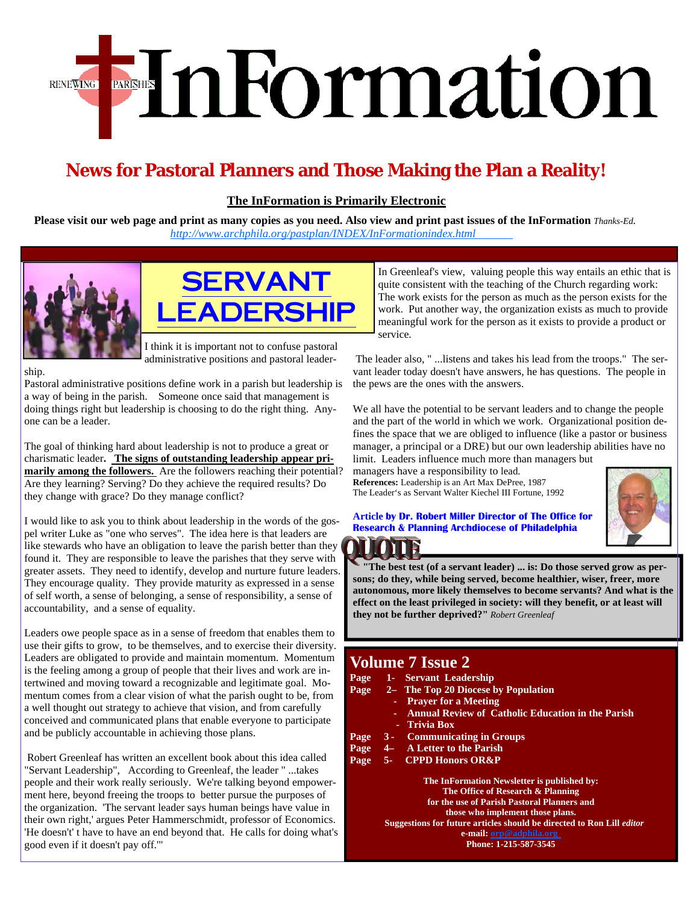# EnFormation **RENEWING**

## **News for Pastoral Planners and Those Making the Plan a Reality!**

**The InFormation is Primarily Electronic**

Please visit our web page and print as many copies as you need. Also view and print past issues of the InFormation *Thanks-Ed. http://www.archphila.org/pastplan/INDEX[/InFormationindex.html](http://www.archphila.org/pastplan/INDEX/InFormationindex.html)* 





ship.

Pastoral administrative positions define work in a parish but leadership is a way of being in the parish. Someone once said that management is doing things right but leadership is choosing to do the right thing. Anyone can be a leader.

The goal of thinking hard about leadership is not to produce a great or charismatic leader**. The signs of outstanding leadership appear primarily among the followers.** Are the followers reaching their potential? Are they learning? Serving? Do they achieve the required results? Do they change with grace? Do they manage conflict?

I would like to ask you to think about leadership in the words of the gospel writer Luke as "one who serves". The idea here is that leaders are like stewards who have an obligation to leave the parish better than they found it. They are responsible to leave the parishes that they serve with greater assets. They need to identify, develop and nurture future leaders. They encourage quality. They provide maturity as expressed in a sense of self worth, a sense of belonging, a sense of responsibility, a sense of accountability, and a sense of equality.

Leaders owe people space as in a sense of freedom that enables them to use their gifts to grow, to be themselves, and to exercise their diversity. Leaders are obligated to provide and maintain momentum. Momentum is the feeling among a group of people that their lives and work are intertwined and moving toward a recognizable and legitimate goal. Momentum comes from a clear vision of what the parish ought to be, from a well thought out strategy to achieve that vision, and from carefully conceived and communicated plans that enable everyone to participate and be publicly accountable in achieving those plans.

 Robert Greenleaf has written an excellent book about this idea called "Servant Leadership", According to Greenleaf, the leader " ...takes people and their work really seriously. We're talking beyond empowerment here, beyond freeing the troops to better pursue the purposes of the organization. 'The servant leader says human beings have value in their own right,' argues Peter Hammerschmidt, professor of Economics. 'He doesn't' t have to have an end beyond that. He calls for doing what's good even if it doesn't pay off.'"

In Greenleaf's view, valuing people this way entails an ethic that is quite consistent with the teaching of the Church regarding work: The work exists for the person as much as the person exists for the work. Put another way, the organization exists as much to provide meaningful work for the person as it exists to provide a product or service.

 The leader also, " ...listens and takes his lead from the troops." The servant leader today doesn't have answers, he has questions. The people in the pews are the ones with the answers.

We all have the potential to be servant leaders and to change the people and the part of the world in which we work. Organizational position defines the space that we are obliged to influence (like a pastor or business manager, a principal or a DRE) but our own leadership abilities have no limit. Leaders influence much more than managers but

managers have a responsibility to lead. **References:** Leadership is an Art Max DePree, 1987 The Leader's as Servant Walter Kiechel III Fortune, 1992



**Article by Dr. Robert Miller Director of The Office for Research & Planning Archdiocese of Philadelphia** 

**"The best test (of a servant leader) ... is: Do those served grow as persons; do they, while being served, become healthier, wiser, freer, more autonomous, more likely themselves to become servants? And what is the effect on the least privileged in society: will they benefit, or at least will they not be further deprived?"** *Robert Greenleaf*

### **Volume 7 Issue 2**

| Page | 1- Servant Leadership                                                            |  |  |  |  |  |
|------|----------------------------------------------------------------------------------|--|--|--|--|--|
| Page | 2- The Top 20 Diocese by Population                                              |  |  |  |  |  |
|      | <b>Prayer for a Meeting</b><br>٠                                                 |  |  |  |  |  |
|      | <b>Annual Review of Catholic Education in the Parish</b><br>a.                   |  |  |  |  |  |
|      | - Trivia Box                                                                     |  |  |  |  |  |
| Page | <b>Communicating in Groups</b><br>$3 -$                                          |  |  |  |  |  |
| Page | <b>A Letter to the Parish</b><br>$-4-$                                           |  |  |  |  |  |
| Page | 5- CPPD Honors OR&P                                                              |  |  |  |  |  |
|      | The InFormation Newsletter is published by:<br>The Office of Research & Planning |  |  |  |  |  |

**The Office of Research & Planning for the use of Parish Pastoral Planners and those who implement those plans. Suggestions for future articles should be directed to Ron Lill** *editor*  **e-mail: orp@adphila.org Phone: 1-215-587-3545**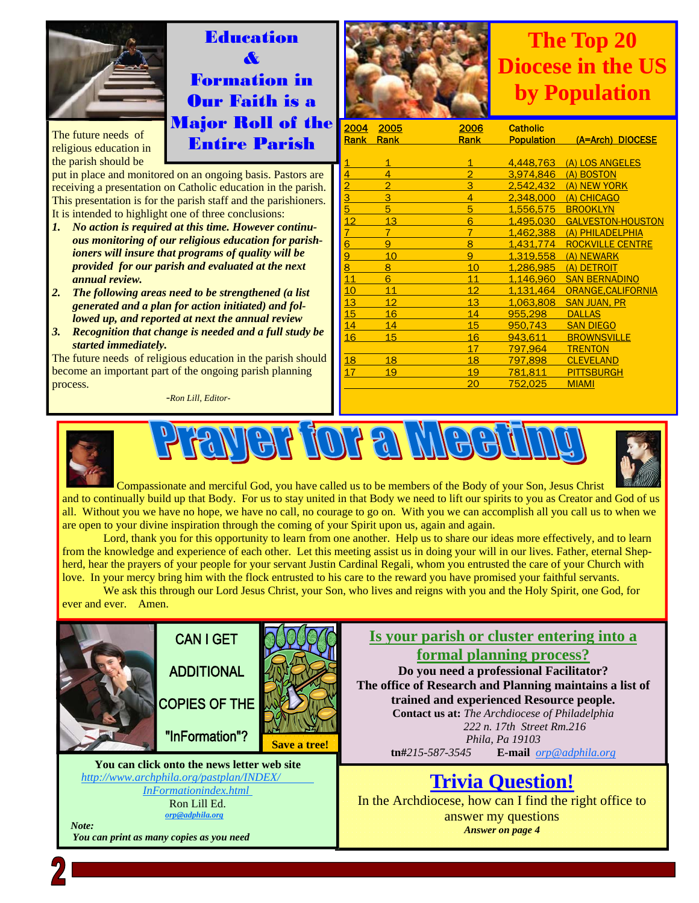

The future needs of religious education in the parish should be

put in place and monitored on an ongoing basis. Pastors are receiving a presentation on Catholic education in the parish. This presentation is for the parish staff and the parishioners. It is intended to highlight one of three conclusions:

**Education** 

& Formation in Our Faith is a Major Roll of the Entire Parish

- *1. No action is required at this time. However continuous monitoring of our religious education for parishioners will insure that programs of quality will be provided for our parish and evaluated at the next annual review.*
- *2. The following areas need to be strengthened (a list generated and a plan for action initiated) and followed up, and reported at next the annual review*
- *3. Recognition that change is needed and a full study be started immediately.*

The future needs of religious education in the parish should become an important part of the ongoing parish planning process.

-*Ron Lill, Editor-*



## **The Top 20 Diocese in the US by Population**

| 2004 | 2005           | 2006           | <b>Catholic</b>   |                          |
|------|----------------|----------------|-------------------|--------------------------|
| Rank | Rank           | <b>Rank</b>    | <b>Population</b> | (A=Arch) DIOCESE         |
|      |                |                |                   |                          |
| 1    | $\overline{1}$ | 1              | 4.448.763         | (A) LOS ANGELES          |
| 4    | 4              | $\overline{2}$ | 3,974,846         | (A) BOSTON               |
|      | $\overline{2}$ | 3              | 2.542.432         | (A) NEW YORK             |
| 3    | 3              | 4              | 2.348,000         | (A) CHICAGO              |
| 5    | 5              | 5              | 1.556.575         | <b>BROOKLYN</b>          |
| 12   | 13             | 6              | 1,495,030         | <b>GALVESTON-HOUSTON</b> |
| 7    | $\overline{7}$ | $\overline{7}$ | 1,462,388         | (A) PHILADELPHIA         |
| 6    | 9              | 8              | 1.431.774         | <b>ROCKVILLE CENTRE</b>  |
| 9    | 10             | 9              | 1.319,558         | (A) NEWARK               |
| 8    | 8              | 10             | 1.286.985         | (A) DETROIT              |
| 11   | 6              | 11             | 1,146,960         | <b>SAN BERNADINO</b>     |
| 10   | 11             | 12             | 1.131.464         | ORANGE.CALIFORNIA        |
| 13   | 12             | 13             | 1.063.808         | <b>SAN JUAN, PR</b>      |
| 15   | 16             | 14             | 955.298           | <b>DALLAS</b>            |
| 14   | 14             | 15             | 950.743           | <b>SAN DIEGO</b>         |
| 16   | 15             | 16             | 943,611           | <b>BROWNSVILLE</b>       |
|      |                | 17             | 797.964           | <b>TRENTON</b>           |
| 18   | 18             | 18             | 797.898           | <b>CLEVELAND</b>         |
| 17   | 19             | 19             | 781.811           | <b>PITTSBURGH</b>        |
|      |                | 20             | 752.025           | <b>MIAMI</b>             |
|      |                |                |                   |                          |







Compassionate and merciful God, you have called us to be members of the Body of your Son, Jesus Christ and to continually build up that Body. For us to stay united in that Body we need to lift our spirits to you as Creator and God of us all. Without you we have no hope, we have no call, no courage to go on. With you we can accomplish all you call us to when we are open to your divine inspiration through the coming of your Spirit upon us, again and again.

Lord, thank you for this opportunity to learn from one another. Help us to share our ideas more effectively, and to learn from the knowledge and experience of each other. Let this meeting assist us in doing your will in our lives. Father, eternal Shepherd, hear the prayers of your people for your servant Justin Cardinal Regali, whom you entrusted the care of your Church with love. In your mercy bring him with the flock entrusted to his care to the reward you have promised your faithful servants.

 We ask this through our Lord Jesus Christ, your Son, who lives and reigns with you and the Holy Spirit, one God, for ever and ever. Amen.

**Is your parish or cluster entering into a CAN I GET formal planning process? ADDITIONAL Do you need a professional Facilitator? The office of Research and Planning maintains a list of trained and experienced Resource people. COPIES OF THE Contact us at:** *The Archdiocese of Philadelphia 222 n. 17th Street Rm.216*  "InFormation"? *Phila, Pa 19103*   **Save a tree! tn#***215-587-3545* **E-mail** *orp@adphila.org*  **You can click onto the news letter web site**  *http://www.archphila.org/pastplan/INDEX/* **Trivia Question!** *[InFormationindex.html](http://www.archphila.org/pastplan/INDEX/InFormationindex.html)*  In the Archdiocese, how can I find the right office to Ron Lill Ed. *orp@adphila.org* answer my questions  *Note: Answer on page 4 You can print as many copies as you need*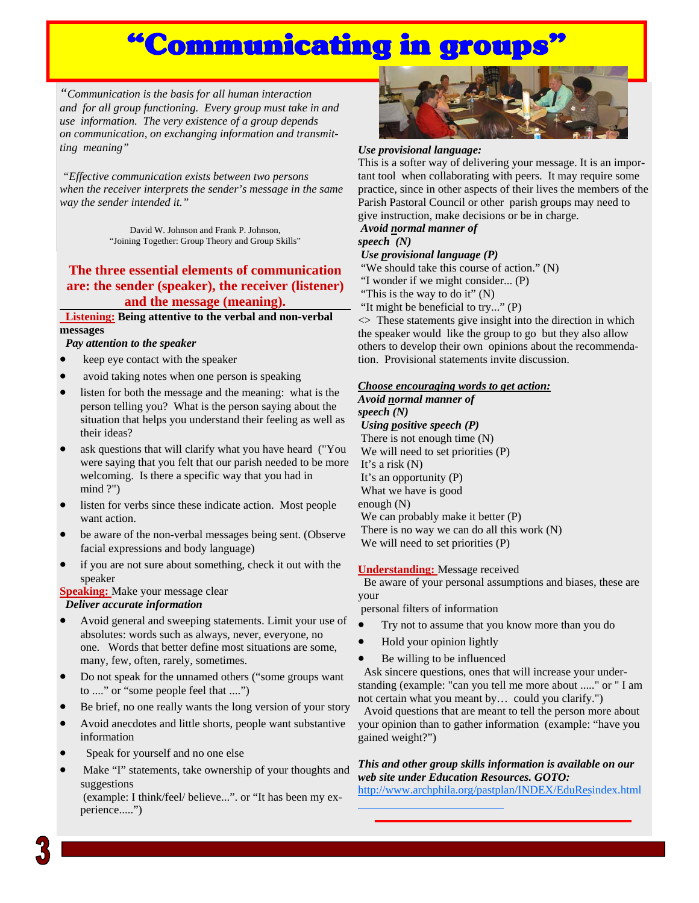## Communicating in groups

*"Communication is the basis for all human interaction and for all group functioning. Every group must take in and use information. The very existence of a group depends on communication, on exchanging information and transmitting meaning"*

 *"Effective communication exists between two persons when the receiver interprets the sender's message in the same way the sender intended it."*

> David W. Johnson and Frank P. Johnson, "Joining Together: Group Theory and Group Skills"

### **The three essential elements of communication are: the sender (speaker), the receiver (listener) and the message (meaning).**

 **Listening: Being attentive to the verbal and non-verbal messages** 

#### *Pay attention to the speaker*

- keep eye contact with the speaker
- avoid taking notes when one person is speaking
- listen for both the message and the meaning: what is the person telling you? What is the person saying about the situation that helps you understand their feeling as well as their ideas?
- ask questions that will clarify what you have heard ("You were saying that you felt that our parish needed to be more welcoming. Is there a specific way that you had in mind ?")
- listen for verbs since these indicate action. Most people want action.
- be aware of the non-verbal messages being sent. (Observe facial expressions and body language)
- if you are not sure about something, check it out with the speaker

#### **Speaking:** Make your message clear *Deliver accurate information*

- Avoid general and sweeping statements. Limit your use of absolutes: words such as always, never, everyone, no one. Words that better define most situations are some, many, few, often, rarely, sometimes.
- Do not speak for the unnamed others ("some groups want to ...." or "some people feel that ....")
- Be brief, no one really wants the long version of your story
- Avoid anecdotes and little shorts, people want substantive information
- Speak for yourself and no one else
- Make "I" statements, take ownership of your thoughts and suggestions

 (example: I think/feel/ believe...". or "It has been my experience.....")



#### *Use provisional language:*

This is a softer way of delivering your message. It is an important tool when collaborating with peers. It may require some practice, since in other aspects of their lives the members of the Parish Pastoral Council or other parish groups may need to give instruction, make decisions or be in charge.

#### *Avoid normal manner of speech (N)*

#### *Use provisional language (P)*

"We should take this course of action." (N)

"I wonder if we might consider... (P)

"This is the way to do it"  $(N)$ 

"It might be beneficial to try..." (P)

<> These statements give insight into the direction in which the speaker would like the group to go but they also allow others to develop their own opinions about the recommendation. Provisional statements invite discussion.

#### *Choose encouraging words to get action:*

*Avoid normal manner of speech (N) Using positive speech (P)* There is not enough time (N) We will need to set priorities (P) It's a risk (N) It's an opportunity (P) What we have is good enough (N) We can probably make it better (P) There is no way we can do all this work (N) We will need to set priorities (P)

#### **Understanding:** Message received

 Be aware of your personal assumptions and biases, these are your

personal filters of information

- Try not to assume that you know more than you do
- Hold your opinion lightly
- Be willing to be influenced

 Ask sincere questions, ones that will increase your understanding (example: "can you tell me more about ....." or " I am not certain what you meant by… could you clarify.")

 Avoid questions that are meant to tell the person more about your opinion than to gather information (example: "have you gained weight?")

#### *This and other group skills information is available on our web site under Education Resources. GOTO:*

[http://www.arch](http://www.archphila.org/pastplan/INDEX/EduResindex.html)phila.org/pastplan/INDEX/EduResindex.html